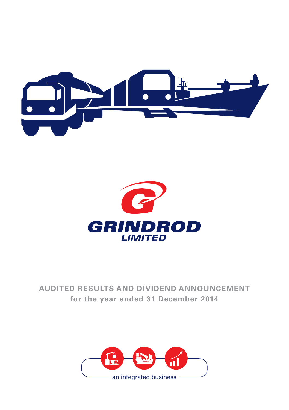



# **AUDITED RESULTS AND DIVIDEND ANNOUNCEMENT for the year ended 31 December 2014**

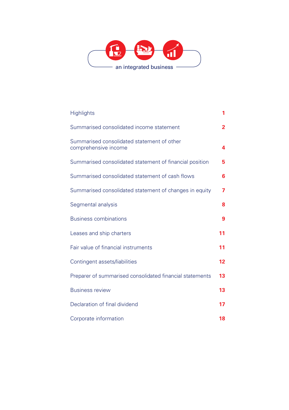

| <b>Highlights</b>                                                  | 1  |
|--------------------------------------------------------------------|----|
| Summarised consolidated income statement                           | 2  |
| Summarised consolidated statement of other<br>comprehensive income | 4  |
| Summarised consolidated statement of financial position            | 5  |
| Summarised consolidated statement of cash flows                    | 6  |
| Summarised consolidated statement of changes in equity             | 7  |
| Segmental analysis                                                 | 8  |
| <b>Business combinations</b>                                       | 9  |
| Leases and ship charters                                           | 11 |
| Fair value of financial instruments                                | 11 |
| Contingent assets/liabilities                                      | 12 |
| Preparer of summarised consolidated financial statements           | 13 |
| <b>Business review</b>                                             | 13 |
| Declaration of final dividend                                      | 17 |
| Corporate information                                              | 18 |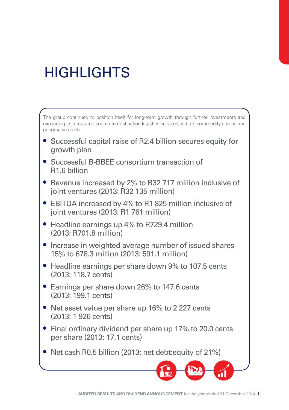# **HIGHLIGHTS**

The group continued to position itself for long-term growth through further investments and expanding its integrated source-to-destination logistics services, in both commodity spread and geographic reach.

- Successful capital raise of R2.4 billion secures equity for growth plan
- Successful B-BBEE consortium transaction of R1.6 billion
- Revenue increased by 2% to R32 717 million inclusive of joint ventures (2013: R32 135 million)
- EBITDA increased by 4% to R1 825 million inclusive of joint ventures (2013: R1 761 million)
- Headline earnings up 4% to R729.4 million (2013: R701.8 million)
- Increase in weighted average number of issued shares 15% to 678.3 million (2013: 591.1 million)
- Headline earnings per share down 9% to 107.5 cents (2013: 118.7 cents)
- Earnings per share down 26% to 147.6 cents (2013: 199.1 cents)
- Net asset value per share up 16% to 2 227 cents (2013: 1 926 cents)
- Final ordinary dividend per share up 17% to 20.0 cents per share (2013: 17.1 cents)
- Net cash R0.5 billion (2013: net debt: equity of 21%)

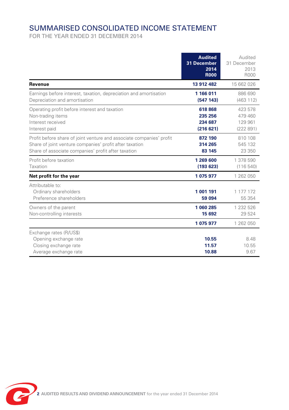# SUMMARISED CONSOLIDATED INCOME STATEMENT

|                                                                                                                                                                                        | <b>Audited</b><br>31 December<br>2014<br><b>R000</b> | Audited<br>31 December<br>2013<br>R000   |
|----------------------------------------------------------------------------------------------------------------------------------------------------------------------------------------|------------------------------------------------------|------------------------------------------|
| Revenue                                                                                                                                                                                | 13 912 482                                           | 15 662 026                               |
| Earnings before interest, taxation, depreciation and amortisation<br>Depreciation and amortisation                                                                                     | 1 166 011<br>(547 143)                               | 886 690<br>(463 112)                     |
| Operating profit before interest and taxation<br>Non-trading items<br>Interest received<br>Interest paid                                                                               | 618 868<br>235 256<br>234 687<br>(216621)            | 423 578<br>479460<br>129 961<br>(222891) |
| Profit before share of joint venture and associate companies' profit<br>Share of joint venture companies' profit after taxation<br>Share of associate companies' profit after taxation | 872 190<br>314 265<br>83 145                         | 810 108<br>545 132<br>23 350             |
| Profit before taxation<br>Taxation                                                                                                                                                     | 1 269 600<br>(193623)                                | 1 378 590<br>(116540)                    |
| Net profit for the year                                                                                                                                                                | 1 075 977                                            | 1 262 050                                |
| Attributable to:<br>Ordinary shareholders<br>Preference shareholders                                                                                                                   | 1 001 191<br>59 094                                  | 1 177 172<br>55 3 54                     |
| Owners of the parent<br>Non-controlling interests                                                                                                                                      | 1 060 285<br>15 692                                  | 1 232 526<br>29 5 24                     |
|                                                                                                                                                                                        | 1 075 977                                            | 1 262 050                                |
| Exchange rates (R/US\$)<br>Opening exchange rate<br>Closing exchange rate<br>Average exchange rate                                                                                     | 10.55<br>11.57<br>10.88                              | 8.48<br>10.55<br>9.67                    |

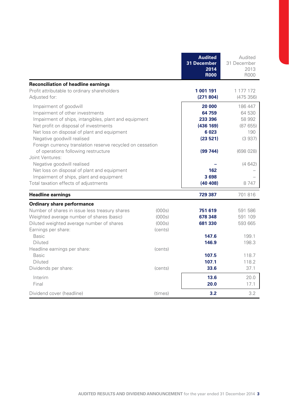|                                                                                                                                                                                                                                                                                                                                               |                                       | <b>Audited</b><br>31 December<br>2014<br><b>R000</b>                     | Audited<br>31 December<br>2013<br>R000                              |
|-----------------------------------------------------------------------------------------------------------------------------------------------------------------------------------------------------------------------------------------------------------------------------------------------------------------------------------------------|---------------------------------------|--------------------------------------------------------------------------|---------------------------------------------------------------------|
| <b>Reconciliation of headline earnings</b><br>Profit attributable to ordinary shareholders<br>Adiusted for:                                                                                                                                                                                                                                   |                                       | 1 001 191<br>(271804)                                                    | 1 177 172<br>(475356)                                               |
| Impairment of goodwill<br>Impairment of other investments<br>Impairment of ships, intangibles, plant and equipment<br>Net profit on disposal of investments<br>Net loss on disposal of plant and equipment<br>Negative goodwill realised<br>Foreign currency translation reserve recycled on cessation<br>of operations following restructure |                                       | 20 000<br>64 759<br>233 396<br>(436 169)<br>6 0 23<br>(23521)<br>(99744) | 186 447<br>64 530<br>58 992<br>(87655)<br>190<br>(3937)<br>(698028) |
| Joint Ventures:<br>Negative goodwill realised<br>Net loss on disposal of plant and equipment<br>Impairment of ships, plant and equipment<br>Total taxation effects of adjustments                                                                                                                                                             |                                       | 162<br>3698<br>(40 408)                                                  | (4642)<br>8747                                                      |
| <b>Headline earnings</b>                                                                                                                                                                                                                                                                                                                      |                                       | 729 387                                                                  | 701816                                                              |
| Ordinary share performance<br>Number of shares in issue less treasury shares<br>Weighted average number of shares (basic)<br>Diluted weighted average number of shares<br>Earnings per share:<br>Basic                                                                                                                                        | (000s)<br>(000s)<br>(000s)<br>(cents) | 751 619<br>678 348<br>681 330<br>147.6                                   | 591 586<br>591 109<br>593 665<br>199.1                              |
| Diluted<br>Headline earnings per share:<br><b>Basic</b><br>Diluted<br>Dividends per share:                                                                                                                                                                                                                                                    | (cents)<br>(cents)                    | 146.9<br>107.5<br>107.1<br>33.6                                          | 198.3<br>118.7<br>118.2<br>37.1                                     |
| Interim<br>Final                                                                                                                                                                                                                                                                                                                              |                                       | 13.6<br>20.0                                                             | 20.0<br>17.1                                                        |
| Dividend cover (headline)                                                                                                                                                                                                                                                                                                                     | (times)                               | 3.2                                                                      | 3.2                                                                 |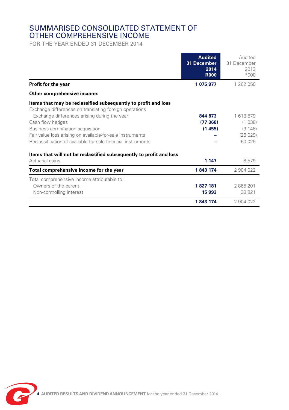## SUMMARISED CONSOLIDATED STATEMENT OF OTHER COMPREHENSIVE INCOME

|                                                                                                                          | <b>Audited</b><br>31 December<br>2014<br><b>R000</b> | Audited<br>31 December<br>2013<br><b>R000</b> |
|--------------------------------------------------------------------------------------------------------------------------|------------------------------------------------------|-----------------------------------------------|
| Profit for the year                                                                                                      | 1 075 977                                            | 1 262 050                                     |
| Other comprehensive income:                                                                                              |                                                      |                                               |
| Items that may be reclassified subsequently to profit and loss<br>Exchange differences on translating foreign operations |                                                      |                                               |
| Exchange differences arising during the year                                                                             | 844 873                                              | 1618579                                       |
| Cash flow hedges                                                                                                         | (77368)                                              | (1038)                                        |
| Business combination acquisition                                                                                         | (1455)                                               | (9148)                                        |
| Fair value loss arising on available-for-sale instruments                                                                |                                                      | (25029)                                       |
| Reclassification of available-for-sale financial instruments                                                             |                                                      | 50 029                                        |
| Items that will not be reclassified subsequently to profit and loss                                                      |                                                      |                                               |
| Actuarial gains                                                                                                          | 1 1 4 7                                              | 8579                                          |
| Total comprehensive income for the year                                                                                  | 1843 174                                             | 2904022                                       |
| Total comprehensive income attributable to:                                                                              |                                                      |                                               |
| Owners of the parent                                                                                                     | 1827 181                                             | 2865201                                       |
| Non-controlling interest                                                                                                 | 15 993                                               | 38 821                                        |
|                                                                                                                          | 1843 174                                             | 2 904 022                                     |

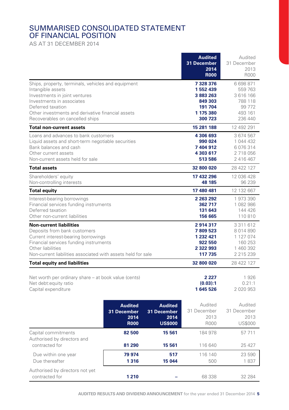# SUMMARISED CONSOLIDATED STATEMENT OF FINANCIAL POSITION

AS AT 31 DECEMBER 2014

|                                                                                                                                                                                                                                                    |                                                      |                                                         | <b>Audited</b><br>31 December<br>2014<br><b>R000</b>                            | Audited<br>31 December<br>2013<br>R000                                       |
|----------------------------------------------------------------------------------------------------------------------------------------------------------------------------------------------------------------------------------------------------|------------------------------------------------------|---------------------------------------------------------|---------------------------------------------------------------------------------|------------------------------------------------------------------------------|
| Ships, property, terminals, vehicles and equipment<br>Intangible assets<br>Investments in joint ventures<br>Investments in associates<br>Deferred taxation<br>Other investments and derivative financial assets<br>Recoverables on cancelled ships |                                                      |                                                         | 7 328 376<br>1552439<br>3 883 263<br>849 303<br>191 704<br>1 175 380<br>300 723 | 6698871<br>559 763<br>3 616 166<br>788 118<br>99 7 7 2<br>493 161<br>236 440 |
| <b>Total non-current assets</b>                                                                                                                                                                                                                    |                                                      |                                                         | 15 281 188                                                                      | 12 492 291                                                                   |
| Loans and advances to bank customers<br>Liquid assets and short-term negotiable securities<br>Bank balances and cash<br>Other current assets<br>Non-current assets held for sale                                                                   |                                                      |                                                         | 4 306 693<br>990 024<br>7 404 912<br>4 303 617<br>513 586                       | 3 674 567<br>1 044 432<br>6076314<br>2718056<br>2 416 467                    |
| <b>Total assets</b>                                                                                                                                                                                                                                |                                                      |                                                         | 32 800 020                                                                      | 28 422 127                                                                   |
| Shareholders' equity<br>Non-controlling interests                                                                                                                                                                                                  |                                                      |                                                         | 17 432 296<br>48 185                                                            | 12 036 428<br>96 239                                                         |
| <b>Total equity</b>                                                                                                                                                                                                                                |                                                      |                                                         | 17 480 481                                                                      | 12 132 667                                                                   |
| Interest-bearing borrowings<br>Financial services funding instruments<br>Deferred taxation<br>Other non-current liabilities                                                                                                                        |                                                      |                                                         | 2 263 292<br>362 717<br>131 643<br>156 665                                      | 1973390<br>1082986<br>144 426<br>110810                                      |
| <b>Non-current liabilities</b><br>Deposits from bank customers<br>Current interest-bearing borrowings<br>Financial services funding instruments<br>Other liabilities<br>Non-current liabilities associated with assets held for sale               |                                                      |                                                         | 2914317<br>7809523<br>1 232 421<br>922 550<br>2 322 993<br>117 735              | 3 3 1 1 6 1 2<br>8014890<br>1 127 074<br>160 253<br>1460392<br>2 2 1 5 2 3 9 |
| <b>Total equity and liabilities</b>                                                                                                                                                                                                                |                                                      |                                                         | 32 800 020                                                                      | 28 422 127                                                                   |
| Net worth per ordinary share – at book value (cents)<br>Net debt: equity ratio<br>Capital expenditure                                                                                                                                              |                                                      |                                                         | 2 2 2 7<br>(0.03):1<br>1645526                                                  | 1926<br>0.21:1<br>2 0 2 0 9 5 3                                              |
|                                                                                                                                                                                                                                                    | <b>Audited</b><br>31 December<br>2014<br><b>R000</b> | <b>Audited</b><br>31 December<br>2014<br><b>US\$000</b> | Audited<br>31 December<br>2013<br>R000                                          | Audited<br>31 December<br>2013<br><b>US\$000</b>                             |
| Capital commitments<br>Authorised by directors and                                                                                                                                                                                                 | 82 500                                               | 15 561                                                  | 184 978                                                                         | 57 711                                                                       |
| contracted for                                                                                                                                                                                                                                     | 81 290                                               | 15 561                                                  | 116 640                                                                         | 25427                                                                        |
| Due within one year<br>Due thereafter                                                                                                                                                                                                              | 79 974<br>1316                                       | 517<br>15 044                                           | 116 140<br>500                                                                  | 23 590<br>1837                                                               |
| Authorised by directors not yet<br>contracted for                                                                                                                                                                                                  | 1210                                                 |                                                         | 68 338                                                                          | 32 284                                                                       |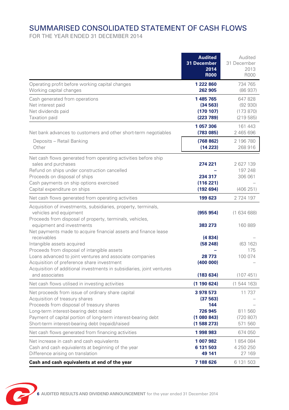# SUMMARISED CONSOLIDATED STATEMENT OF CASH FLOWS

|                                                                                                                                                                                                                                                                                                 | <b>Audited</b><br>31 December<br>2014<br><b>R000</b>              | Audited<br>31 December<br>2013<br><b>R000</b> |
|-------------------------------------------------------------------------------------------------------------------------------------------------------------------------------------------------------------------------------------------------------------------------------------------------|-------------------------------------------------------------------|-----------------------------------------------|
| Operating profit before working capital changes<br>Working capital changes                                                                                                                                                                                                                      | 1 222 860<br>262 905                                              | 734 765<br>(86937)                            |
| Cash generated from operations<br>Net interest paid<br>Net dividends paid<br>Taxation paid                                                                                                                                                                                                      | 1485765<br>(34563)<br>(170107)<br>(223 789)                       | 647828<br>(92930)<br>(173 870)<br>(219585)    |
| Net bank advances to customers and other short-term negotiables                                                                                                                                                                                                                                 | 1 057 306<br>(783085)                                             | 161 443<br>2 465 696                          |
| Deposits - Retail Banking<br>Other                                                                                                                                                                                                                                                              | (768 862)<br>(14223)                                              | 2 196 780<br>268 916                          |
| Net cash flows generated from operating activities before ship<br>sales and purchases<br>Refund on ships under construction cancelled<br>Proceeds on disposal of ships<br>Cash payments on ship options exercised<br>Capital expenditure on ships                                               | 274 221<br>234 317<br>(116 221)<br>(192694)                       | 2627139<br>197 248<br>306 061<br>(406251)     |
| Net cash flows generated from operating activities                                                                                                                                                                                                                                              | 199 623                                                           | 2724197                                       |
| Acquisition of investments, subsidiaries, property, terminals,<br>vehicles and equipment<br>Proceeds from disposal of property, terminals, vehicles,                                                                                                                                            | (955 954)                                                         | (163468)                                      |
| equipment and investments<br>Net payments made to acquire financial assets and finance lease<br>receivables                                                                                                                                                                                     | 383 273<br>(4834)                                                 | 160 889<br>(63162)                            |
| Intangible assets acquired<br>Proceeds from disposal of intangible assets<br>Loans advanced to joint ventures and associate companies<br>Acquisition of preference share investment<br>Acquisition of additional investments in subsidiaries, joint ventures<br>and associates                  | (58248)<br>28 773<br>(400000)<br>(183634)                         | 175<br>100 074<br>(107451)                    |
| Net cash flows utilised in investing activities                                                                                                                                                                                                                                                 | (1 190 624)                                                       | (1544163)                                     |
| Net proceeds from issue of ordinary share capital<br>Acquisition of treasury shares<br>Proceeds from disposal of treasury shares<br>Long-term interest-bearing debt raised<br>Payment of capital portion of long-term interest-bearing debt<br>Short-term interest-bearing debt (repaid)/raised | 3 978 573<br>(37 563)<br>144<br>726 945<br>(1080843)<br>(1588273) | 11737<br>811 560<br>(720 807)<br>571 560      |
| Net cash flows generated from financing activities                                                                                                                                                                                                                                              | 1998983                                                           | 674 050                                       |
| Net increase in cash and cash equivalents<br>Cash and cash equivalents at beginning of the year<br>Difference arising on translation                                                                                                                                                            | 1 007 982<br>6 131 503<br>49 141                                  | 1854084<br>4 250 250<br>27 169                |
| Cash and cash equivalents at end of the year                                                                                                                                                                                                                                                    | 7 188 626                                                         | 6 131 503                                     |

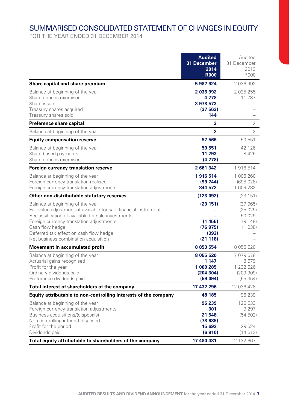# SUMMARISED CONSOLIDATED STATEMENT OF CHANGES IN EQUITY

|                                                                                                                                                                                                                                                                                                             | <b>Audited</b><br>31 December<br>2014<br><b>R000</b>       | Audited<br>31 December<br>2013<br><b>R000</b>       |
|-------------------------------------------------------------------------------------------------------------------------------------------------------------------------------------------------------------------------------------------------------------------------------------------------------------|------------------------------------------------------------|-----------------------------------------------------|
| Share capital and share premium                                                                                                                                                                                                                                                                             | 5982924                                                    | 2036992                                             |
| Balance at beginning of the year<br>Share options exercised<br>Share issue<br>Treasury shares acquired<br>Treasury shares sold                                                                                                                                                                              | 2 036 992<br>4778<br>3 978 573<br>(37563)<br>144           | 2 0 2 5 2 5 5<br>11737                              |
| Preference share capital                                                                                                                                                                                                                                                                                    | 2                                                          | $\overline{2}$                                      |
| Balance at beginning of the year                                                                                                                                                                                                                                                                            | 2                                                          | 2                                                   |
| <b>Equity compensation reserve</b>                                                                                                                                                                                                                                                                          | 57 566                                                     | 50 551                                              |
| Balance at beginning of the year<br>Share-based payments<br>Share options exercised                                                                                                                                                                                                                         | 50 551<br>11 793<br>(4778)                                 | 42 1 26<br>8425                                     |
| Foreign currency translation reserve                                                                                                                                                                                                                                                                        | 2 661 342                                                  | 1916514                                             |
| Balance at beginning of the year<br>Foreign currency translation realised<br>Foreign currency translation adjustments                                                                                                                                                                                       | 1916514<br>(99744)<br>844 572                              | 1 005 260<br>(698028)<br>1609282                    |
| Other non-distributable statutory reserves                                                                                                                                                                                                                                                                  | (123092)                                                   | (23151)                                             |
| Balance at beginning of the year<br>Fair value adjustment of available-for-sale financial instrument<br>Reclassification of available-for-sale investments<br>Foreign currency translation adjustments<br>Cash flow hedge<br>Deferred tax effect on cash flow hedge<br>Net business combination acquisition | (23 151)<br>(1455)<br>(76975)<br>(393)<br>(21118)          | (37965)<br>(25029)<br>50 029<br>(9148)<br>(1038)    |
| Movement in accumulated profit                                                                                                                                                                                                                                                                              | 8 8 5 3 5 5 4                                              | 8 0 5 5 5 2 0                                       |
| Balance at beginning of the year<br>Actuarial gains recognised<br>Profit for the year<br>Ordinary dividends paid<br>Preference dividends paid                                                                                                                                                               | 8 0 5 5 5 2 0<br>1 147<br>1 060 285<br>(204304)<br>(59094) | 7079678<br>8579<br>1 232 526<br>(209909)<br>(55354) |
| Total interest of shareholders of the company                                                                                                                                                                                                                                                               | 17 432 296                                                 | 12 036 428                                          |
| Equity attributable to non-controlling interests of the company                                                                                                                                                                                                                                             | 48 185                                                     | 96 239                                              |
| Balance at beginning of the year<br>Foreign currency translation adjustments<br>Business acquisitions/(disposals)<br>Non-controlling interest disposed<br>Profit for the period<br>Dividends paid                                                                                                           | 96 239<br>301<br>21 548<br>(78685)<br>15 692<br>(6910)     | 126 533<br>9 2 9 7<br>(54502)<br>29 5 24<br>(14613) |
| Total equity attributable to shareholders of the company                                                                                                                                                                                                                                                    | 17 480 481                                                 | 12 132 667                                          |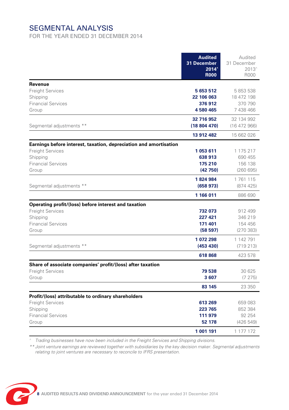# SEGMENTAL ANALYSIS

FOR THE YEAR ENDED 31 DECEMBER 2014

|                                                                                                                                                | <b>Audited</b><br>31 December<br>2014^<br><b>R000</b> | Audited<br>31 December<br>2013^<br>R000               |
|------------------------------------------------------------------------------------------------------------------------------------------------|-------------------------------------------------------|-------------------------------------------------------|
| Revenue<br><b>Freight Services</b><br>Shipping<br><b>Financial Services</b><br>Group                                                           | 5 653 512<br>22 106 063<br>376912<br>4580465          | 5 853 538<br>18 472 198<br>370 790<br>7 438 466       |
| Segmental adjustments **                                                                                                                       | 32 716 952<br>(18804470)<br>13 912 482                | 32 134 992<br>(16 472 966)<br>15 662 026              |
| Earnings before interest, taxation, depreciation and amortisation<br><b>Freight Services</b><br>Shipping<br><b>Financial Services</b><br>Group | 1053611<br>638 913<br>175 210<br>(42750)              | 1 175 217<br>690 455<br>156 138<br>(260695)           |
| Segmental adjustments **                                                                                                                       | 1824984<br>(658973)<br>1 166 011                      | 1761115<br>(874425)<br>886 690                        |
| Operating profit/(loss) before interest and taxation<br><b>Freight Services</b><br>Shipping<br><b>Financial Services</b><br>Group              | 732 073<br>227 421<br>171 401<br>(58597)              | 912 499<br>346 219<br>154 456<br>(270383)             |
| Segmental adjustments **                                                                                                                       | 1 072 298<br>(453 430)<br>618 868                     | 1 142 791<br>(719213)<br>423 578                      |
| Share of associate companies' profit/(loss) after taxation<br><b>Freight Services</b><br>Group                                                 | 79 538<br>3607<br>83 145                              | 30 625<br>(7275)<br>23 350                            |
| Profit/(loss) attributable to ordinary shareholders<br><b>Freight Services</b><br>Shipping<br><b>Financial Services</b><br>Group               | 613 269<br>223 765<br>111 979<br>52 178<br>1 001 191  | 659 083<br>852 384<br>92 254<br>(426549)<br>1 177 172 |

*^ Trading businesses have now been included in the Freight Services and Shipping divisions.* 

*\*\* Joint venture earnings are reviewed together with subsidiaries by the key decision maker. Segmental adjustments relating to joint ventures are necessary to reconcile to IFRS presentation.*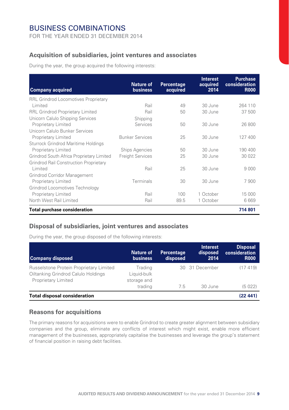## BUSINESS COMBINATIONS

FOR THE YEAR ENDED 31 DECEMBER 2014

#### **Acquisition of subsidiaries, joint ventures and associates**

During the year, the group acquired the following interests:

| <b>Company acquired</b>                       | <b>Nature of</b><br><b>business</b> | <b>Percentage</b><br>acquired | <b>Interest</b><br>acquired<br>2014 | <b>Purchase</b><br>consideration<br><b>R000</b> |
|-----------------------------------------------|-------------------------------------|-------------------------------|-------------------------------------|-------------------------------------------------|
| <b>RRL Grindrod Locomotives Proprietary</b>   |                                     |                               |                                     |                                                 |
| I imited                                      | Rail                                | 49                            | 30 June                             | 264 110                                         |
| <b>RRL Grindrod Proprietary Limited</b>       | Rail                                | 50                            | 30 June                             | 37 500                                          |
| Unicorn Calulo Shipping Services              | Shipping                            |                               |                                     |                                                 |
| Proprietary Limited                           | Services                            | 50                            | 30 June                             | 26 800                                          |
| Unicorn Calulo Bunker Services                |                                     |                               |                                     |                                                 |
| Proprietary Limited                           | <b>Bunker Services</b>              | 25                            | 30 June                             | 127400                                          |
| Sturrock Grindrod Maritime Holdings           |                                     |                               |                                     |                                                 |
| Proprietary Limited                           | <b>Ships Agencies</b>               | 50                            | 30 June                             | 190 400                                         |
| Grindrod South Africa Proprietary Limited     | <b>Freight Services</b>             | 25                            | 30 June                             | 30 022                                          |
| <b>Grindrod Rail Construction Proprietary</b> |                                     |                               |                                     |                                                 |
| Limited                                       | Rail                                | 25                            | 30 June                             | 9 0 0 0                                         |
| Grindrod Corridor Management                  |                                     |                               |                                     |                                                 |
| Proprietary Limited                           | Terminals                           | 30                            | 30 June                             | 7900                                            |
| Grindrod Locomotives Technology               |                                     |                               |                                     |                                                 |
| Proprietary Limited                           | Rail                                | 100                           | 1 October                           | 15 000                                          |
| North West Rail Limited                       | Rail                                | 89.5                          | 1 October                           | 6 6 6 9                                         |
| <b>Total purchase consideration</b>           |                                     |                               |                                     | 714 801                                         |

#### **Disposal of subsidiaries, joint ventures and associates**

During the year, the group disposed of the following interests:

| <b>Company disposed</b>                                                                               | <b>Nature of</b><br><b>business</b>   | <b>Percentage</b><br>disposed | <b>Interest</b><br>disposed<br>2014 | <b>Disposal</b><br>consideration<br><b>R000</b> |
|-------------------------------------------------------------------------------------------------------|---------------------------------------|-------------------------------|-------------------------------------|-------------------------------------------------|
| Russelstone Protein Proprietary Limited<br>Oiltanking Grindrod Calulo Holdings<br>Proprietary Limited | Trading<br>Liquid-bulk<br>storage and |                               | 30 31 December                      | (17419)                                         |
|                                                                                                       | trading                               | 7.5                           | 30 June                             | (5022)                                          |
| <b>Total disposal consideration</b>                                                                   |                                       |                               |                                     | (22441)                                         |

#### **Reasons for acquisitions**

The primary reasons for acquisitions were to enable Grindrod to create greater alignment between subsidiary companies and the group, eliminate any conflicts of interest which might exist, enable more efficient management of the businesses, appropriately capitalise the businesses and leverage the group's statement of financial position in raising debt facilities.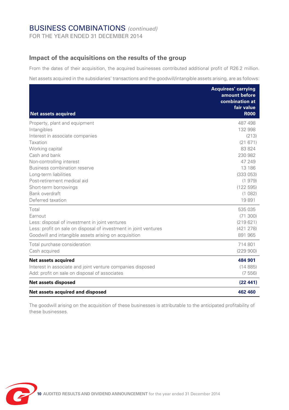## BUSINESS COMBINATIONS *(continued)*

FOR THE YEAR ENDED 31 DECEMBER 2014

#### **Impact of the acquisitions on the results of the group**

From the dates of their acquisition, the acquired businesses contributed additional profit of R26.2 million.

Net assets acquired in the subsidiaries' transactions and the goodwill/intangible assets arising, are as follows:

| <b>Net assets acquired</b>                                       | <b>Acquirees' carrying</b><br>amount before<br>combination at<br>fair value<br><b>R000</b> |
|------------------------------------------------------------------|--------------------------------------------------------------------------------------------|
| Property, plant and equipment                                    | 487 498                                                                                    |
| Intangibles                                                      | 132 998                                                                                    |
| Interest in associate companies                                  | (213)                                                                                      |
| Taxation                                                         | (21671)                                                                                    |
| Working capital                                                  | 83824                                                                                      |
| Cash and bank                                                    | 230 982                                                                                    |
| Non-controlling interest                                         | 47 249                                                                                     |
| Business combination reserve                                     | 13 186                                                                                     |
| Long-term liabilities                                            | (333053)                                                                                   |
| Post-retirement medical aid                                      | (1979)                                                                                     |
| Short-term borrowings                                            | (122595)                                                                                   |
| Bank overdraft                                                   | (1082)                                                                                     |
| Deferred taxation                                                | 19891                                                                                      |
| Total                                                            | 535 035                                                                                    |
| Earnout                                                          | (71300)                                                                                    |
| Less: disposal of investment in joint ventures                   | (219621)                                                                                   |
| Less: profit on sale on disposal of investment in joint ventures | (421278)                                                                                   |
| Goodwill and intangible assets arising on acquisition            | 891 965                                                                                    |
| Total purchase consideration                                     | 714801                                                                                     |
| Cash acquired                                                    | (229900)                                                                                   |
| Net assets acquired                                              | 484 901                                                                                    |
| Interest in associate and joint venture companies disposed       | (14885)                                                                                    |
| Add: profit on sale on disposal of associates                    | (7556)                                                                                     |
| Net assets disposed                                              | (22441)                                                                                    |
| Net assets acquired and disposed                                 | 462 460                                                                                    |
|                                                                  |                                                                                            |

The goodwill arising on the acquisition of these businesses is attributable to the anticipated profitability of these businesses.

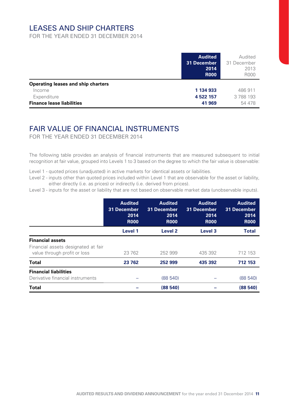## LEASES AND SHIP CHARTERS

FOR THE YEAR ENDED 31 DECEMBER 2014

|                                                                                                 | <b>Audited</b><br>31 December<br>2014<br><b>R000</b> | Audited<br>31 December<br>2013<br>R000 |
|-------------------------------------------------------------------------------------------------|------------------------------------------------------|----------------------------------------|
| Operating leases and ship charters<br>Income<br>Expenditure<br><b>Finance lease liabilities</b> | 1 134 933<br>4 522 157<br>41 969                     | 486 911<br>3788193<br>54 478           |

## FAIR VALUE OF FINANCIAL INSTRUMENTS

FOR THE YEAR ENDED 31 DECEMBER 2014

The following table provides an analysis of financial instruments that are measured subsequent to initial recognition at fair value, grouped into Levels 1 to 3 based on the degree to which the fair value is observable:

Level 1 - quoted prices (unadjusted) in active markets for identical assets or liabilities.

Level 2 - inputs other than quoted prices included within Level 1 that are observable for the asset or liability, either directly (i.e. as prices) or indirectly (i.e. derived from prices).

Level 3 - inputs for the asset or liability that are not based on observable market data (unobservable inputs).

|                                                                                                | <b>Audited</b><br>31 December<br>2014<br><b>R000</b> | <b>Audited</b><br>31 December<br>2014<br><b>R000</b> | <b>Audited</b><br>31 December<br>2014<br><b>R000</b> | <b>Audited</b><br>31 December<br>2014<br><b>R000</b> |
|------------------------------------------------------------------------------------------------|------------------------------------------------------|------------------------------------------------------|------------------------------------------------------|------------------------------------------------------|
|                                                                                                | Level 1                                              | Level <sub>2</sub>                                   | Level 3                                              | <b>Total</b>                                         |
| <b>Financial assets</b><br>Financial assets designated at fair<br>value through profit or loss | 23 7 62                                              | 252 999                                              | 435 392                                              | 712 153                                              |
| Total                                                                                          | 23 762                                               | 252 999                                              | 435 392                                              | 712 153                                              |
| <b>Financial liabilities</b><br>Derivative financial instruments                               |                                                      | (88540)                                              |                                                      | (88540)                                              |
| <b>Total</b>                                                                                   |                                                      | (88540)                                              |                                                      | (88540)                                              |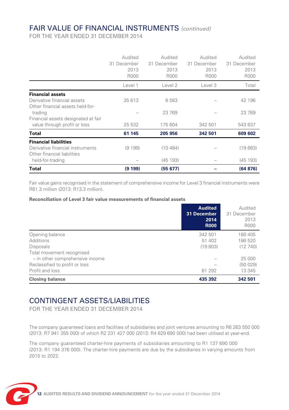## FAIR VALUE OF FINANCIAL INSTRUMENTS *(continued)*

FOR THE YEAR ENDED 31 DECEMBER 2014

|                                     | Audited     | Audited     | Audited     | Audited     |
|-------------------------------------|-------------|-------------|-------------|-------------|
|                                     | 31 December | 31 December | 31 December | 31 December |
|                                     | 2013        | 2013        | 2013        | 2013        |
|                                     | R000        | R000        | R000        | R000        |
|                                     | Level 1     | Level 2     | Level 3     | Total       |
| <b>Financial assets</b>             |             |             |             |             |
| Derivative financial assets         | 35 613      | 6583        |             | 42 196      |
| Other financial assets held-for-    |             |             |             |             |
| trading                             |             | 23 769      |             | 23769       |
| Financial assets designated at fair |             |             |             |             |
| value through profit or loss        | 25 532      | 175 604     | 342 501     | 543 637     |
| Total                               | 61 145      | 205 956     | 342 501     | 609 602     |
| <b>Financial liabilities</b>        |             |             |             |             |
| Derivative financial instruments    | (9199)      | (10484)     |             | (19683)     |
| Other financial liabilities         |             |             |             |             |
| held-for-trading                    |             | (45193)     |             | (45193)     |
| Total                               | (9 199)     | (55 677)    |             | (64 876)    |

Fair value gains recognised in the statement of comprehensive income for Level 3 financial instruments were R61.3 million (2013: R13.3 million).

#### **Reconciliation of Level 3 fair value measurements of financial assets**

|                                 | <b>Audited</b><br>31 December<br>2014<br><b>R000</b> | Audited<br>31 December<br>2013<br>R000 |
|---------------------------------|------------------------------------------------------|----------------------------------------|
| Opening balance                 | 342 501                                              | 180 405                                |
| Additions                       | 51 402                                               | 186520                                 |
| <b>Disposals</b>                | (19803)                                              | (12740)                                |
| Total movement recognised       |                                                      |                                        |
| - in other comprehensive income |                                                      | 25 000                                 |
| Reclassified to profit or loss  |                                                      | (50 029)                               |
| Profit and loss                 | 61 292                                               | 13 345                                 |
| <b>Closing balance</b>          | 435 392                                              | 342 501                                |

## CONTINGENT ASSETS/LIABILITIES

FOR THE YEAR ENDED 31 DECEMBER 2014

The company guaranteed loans and facilities of subsidiaries and joint ventures amounting to R6 263 550 000 (2013: R7 941 355 000) of which R2 231 427 000 (2013: R4 629 690 000) had been utilised at year-end.

The company guaranteed charter-hire payments of subsidiaries amounting to R1 137 690 000 (2013: R1 194 376 000). The charter-hire payments are due by the subsidiaries in varying amounts from 2015 to 2022.

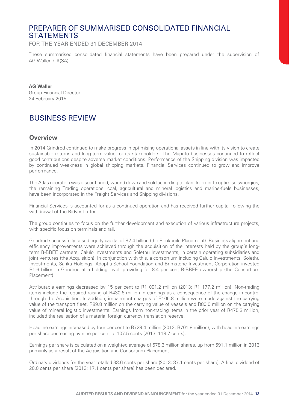### PREPARER OF SUMMARISED CONSOLIDATED FINANCIAL **STATEMENTS**

FOR THE YEAR ENDED 31 DECEMBER 2014

These summarised consolidated financial statements have been prepared under the supervision of AG Waller, CA(SA).

**AG Waller** Group Financial Director 24 February 2015

# BUSINESS REVIEW

#### **Overview**

In 2014 Grindrod continued to make progress in optimising operational assets in line with its vision to create sustainable returns and long-term value for its stakeholders. The Maputo businesses continued to reflect good contributions despite adverse market conditions. Performance of the Shipping division was impacted by continued weakness in global shipping markets. Financial Services continued to grow and improve performance.

The Atlas operation was discontinued, wound down and sold according to plan. In order to optimise synergies, the remaining Trading operations, coal, agricultural and mineral logistics and marine-fuels businesses, have been incorporated in the Freight Services and Shipping divisions.

Financial Services is accounted for as a continued operation and has received further capital following the withdrawal of the Bidvest offer.

The group continues to focus on the further development and execution of various infrastructure projects, with specific focus on terminals and rail.

Grindrod successfully raised equity capital of R2.4 billion (the Bookbuild Placement). Business alignment and efficiency improvements were achieved through the acquisition of the interests held by the group's longterm B-BBEE partners, Calulo Investments and Solethu Investments, in certain operating subsidiaries and joint ventures (the Acquisition). In conjunction with this, a consortium including Calulo Investments, Solethu Investments, Safika Holdings, Adopt-a-School Foundation and Brimstone Investment Corporation invested R1.6 billion in Grindrod at a holding level, providing for 8.4 per cent B-BBEE ownership (the Consortium Placement).

Attributable earnings decreased by 15 per cent to R1 001.2 million (2013: R1 177.2 million). Non-trading items include the required raising of R430.6 million in earnings as a consequence of the change in control through the Acquisition. In addition, impairment charges of R105.8 million were made against the carrying value of the transport fleet, R89.8 million on the carrying value of vessels and R80.0 million on the carrying value of mineral logistic investments. Earnings from non-trading items in the prior year of R475.3 million, included the realisation of a material foreign currency translation reserve.

Headline earnings increased by four per cent to R729.4 million (2013: R701.8 million), with headline earnings per share decreasing by nine per cent to 107.5 cents (2013: 118.7 cents).

Earnings per share is calculated on a weighted average of 678.3 million shares, up from 591.1 million in 2013 primarily as a result of the Acquisition and Consortium Placement.

Ordinary dividends for the year totalled 33.6 cents per share (2013: 37.1 cents per share). A final dividend of 20.0 cents per share (2013: 17.1 cents per share) has been declared.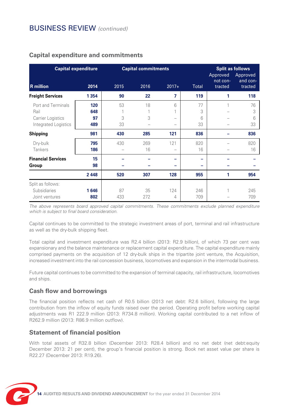## BUSINESS REVIEW *(continued)*

| <b>Capital expenditure</b>                                              |                         | <b>Capital commitments</b> |           |                                    | <b>Split as follows</b><br>Approved<br>Approved<br>and con-<br>not con- |         |                    |
|-------------------------------------------------------------------------|-------------------------|----------------------------|-----------|------------------------------------|-------------------------------------------------------------------------|---------|--------------------|
| <b>R</b> million                                                        | 2014                    | 2015                       | 2016      | $2017+$                            | Total                                                                   | tracted | tracted            |
| <b>Freight Services</b>                                                 | 1 3 5 4                 | 90                         | 22        | 7                                  | 119                                                                     | 1       | 118                |
| Port and Terminals<br>Rail<br>Carrier Logistics<br>Integrated Logistics | 120<br>648<br>97<br>489 | 53<br>3<br>33              | 18<br>3   | 6<br>1<br>$\overline{\phantom{a}}$ | 77<br>3<br>6<br>33                                                      | 1       | 76<br>3<br>6<br>33 |
| Shipping                                                                | 981                     | 430                        | 285       | 121                                | 836                                                                     |         | 836                |
| Dry-bulk<br>Tankers                                                     | 795<br>186              | 430                        | 269<br>16 | 121<br>$\overline{\phantom{a}}$    | 820<br>16                                                               |         | 820<br>16          |
| <b>Financial Services</b><br>Group                                      | 15<br>98                |                            |           |                                    |                                                                         |         |                    |
|                                                                         | 2448                    | 520                        | 307       | 128                                | 955                                                                     | 1       | 954                |
| Split as follows:<br>Subsidiaries<br>Joint ventures                     | 1646<br>802             | 87<br>433                  | 35<br>272 | 124<br>4                           | 246<br>709                                                              | 1       | 245<br>709         |

#### **Capital expenditure and commitments**

*The above represents board approved capital commitments. These commitments exclude planned expenditure which is subject to final board consideration.*

Capital continues to be committed to the strategic investment areas of port, terminal and rail infrastructure as well as the dry-bulk shipping fleet.

Total capital and investment expenditure was R2.4 billion (2013: R2.9 billion), of which 73 per cent was expansionary and the balance maintenance or replacement capital expenditure. The capital expenditure mainly comprised payments on the acquisition of 12 dry-bulk ships in the tripartite joint venture, the Acquisition, increased investment into the rail concession business, locomotives and expansion in the intermodal business.

Future capital continues to be committed to the expansion of terminal capacity, rail infrastructure, locomotives and ships.

#### **Cash flow and borrowings**

The financial position reflects net cash of R0.5 billion (2013 net debt: R2.6 billion), following the large contribution from the inflow of equity funds raised over the period. Operating profit before working capital adiustments was R1 222.9 million (2013: R734.8 million). Working capital contributed to a net inflow of R262.9 million (2013: R86.9 million outflow).

#### **Statement of financial position**

With total assets of R32.8 billion (December 2013: R28.4 billion) and no net debt (net debt:equity December 2013: 21 per cent), the group's financial position is strong. Book net asset value per share is R22.27 (December 2013: R19.26).

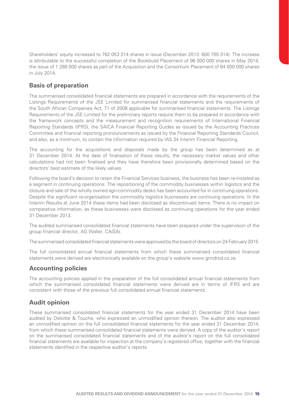Shareholders' equity increased to 762 053 314 shares in issue (December 2013: 600 765 314). The increase is attributable to the successful completion of the Bookbuild Placement of 96 000 000 shares in May 2014, the issue of 1 288 000 shares as part of the Acquisition and the Consortium Placement of 64 000 000 shares in July 2014.

#### **Basis of preparation**

The summarised consolidated financial statements are prepared in accordance with the requirements of the Listings Requirements of the JSE Limited for summarised financial statements and the requirements of the South African Companies Act, 71 of 2008 applicable for summarised financial statements. The Listings Requirements of the JSE Limited for the preliminary reports require them to be prepared in accordance with the framework concepts and the measurement and recognition requirements of International Financial Reporting Standards (IFRS), the SAICA Financial Reporting Guides as issued by the Accounting Practices Committee and financial reporting pronouncements as issued by the Financial Reporting Standards Council, and also, as a minimum, to contain the information required by IAS 34 Interim Financial Reporting.

The accounting for the acquisitions and disposals made by the group has been determined as at 31 December 2014. At the date of finalisation of these results, the necessary market values and other calculations had not been finalised and they have therefore been provisionally determined based on the directors' best estimate of the likely values.

Following the board's decision to retain the Financial Services business, the business has been re-instated as a segment in continuing operations. The repositioning of the commodity businesses within logistics and the closure and sale of the wholly owned agri-commodity desks has been accounted for in continuing operations. Despite the significant re-organisation the commodity logistics businesses are continuing operations. In the Interim Results at June 2014 these items had been disclosed as discontinued items. There is no impact on comparative information, as these businesses were disclosed as continuing operations for the year ended 31 December 2013.

The audited summarised consolidated financial statements have been prepared under the supervision of the group financial director, AG Waller, CA(SA).

The summarised consolidated financial statements were approved by the board of directors on 24 February 2015.

The full consolidated annual financial statements from which these summarised consolidated financial statements were derived are electronically available on the group's website www.grindrod.co.za.

#### **Accounting policies**

The accounting policies applied in the preparation of the full consolidated annual financial statements from which the summarised consolidated financial statements were derived are in terms of IFRS and are consistent with those of the previous full consolidated annual financial statements.

#### **Audit opinion**

These summarised consolidated financial statements for the year ended 31 December 2014 have been audited by Deloitte & Touche, who expressed an unmodified opinion thereon. The auditor also expressed an unmodified opinion on the full consolidated financial statements for the year ended 31 December 2014, from which these summarised consolidated financial statements were derived. A copy of the auditor's report on the summarised consolidated financial statements and of the auditor's report on the full consolidated financial statements are available for inspection at the company's registered office, together with the financial statements identified in the respective auditor's reports.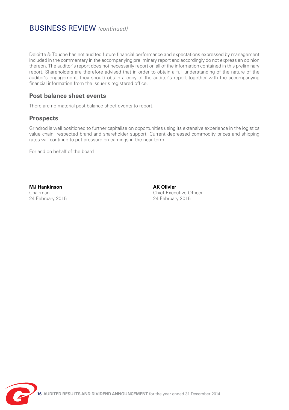## BUSINESS REVIEW *(continued)*

Deloitte & Touche has not audited future financial performance and expectations expressed by management included in the commentary in the accompanying preliminary report and accordingly do not express an opinion thereon. The auditor's report does not necessarily report on all of the information contained in this preliminary report. Shareholders are therefore advised that in order to obtain a full understanding of the nature of the auditor's engagement, they should obtain a copy of the auditor's report together with the accompanying financial information from the issuer's registered office.

#### **Post balance sheet events**

There are no material post balance sheet events to report.

#### **Prospects**

Grindrod is well positioned to further capitalise on opportunities using its extensive experience in the logistics value chain, respected brand and shareholder support. Current depressed commodity prices and shipping rates will continue to put pressure on earnings in the near term.

For and on behalf of the board

**MJ Hankinson** AK Olivier

Chairman Chief Executive Officer 24 February 2015

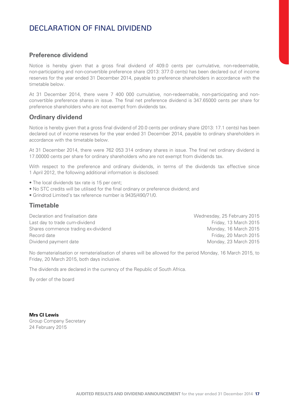# DECLARATION OF FINAL DIVIDEND

#### **Preference dividend**

Notice is hereby given that a gross final dividend of 409.0 cents per cumulative, non-redeemable, non-participating and non-convertible preference share (2013: 377.0 cents) has been declared out of income reserves for the year ended 31 December 2014, payable to preference shareholders in accordance with the timetable below.

At 31 December 2014, there were 7 400 000 cumulative, non-redeemable, non-participating and nonconvertible preference shares in issue. The final net preference dividend is 347.65000 cents per share for preference shareholders who are not exempt from dividends tax.

#### **Ordinary dividend**

Notice is hereby given that a gross final dividend of 20.0 cents per ordinary share (2013: 17.1 cents) has been declared out of income reserves for the year ended 31 December 2014, payable to ordinary shareholders in accordance with the timetable below.

At 31 December 2014, there were 762 053 314 ordinary shares in issue. The final net ordinary dividend is 17.00000 cents per share for ordinary shareholders who are not exempt from dividends tax.

With respect to the preference and ordinary dividends, in terms of the dividends tax effective since 1 April 2012, the following additional information is disclosed:

- The local dividends tax rate is 15 per cent;
- No STC credits will be utilised for the final ordinary or preference dividend; and
- Grindrod Limited's tax reference number is 9435/490/71/0.

#### **Timetable**

Declaration and finalisation date Wednesday, 25 February 2015 Last day to trade cum-dividend Friday, 13 March 2015 Shares commence trading ex-dividend Monday, 16 March 2015 Record date Friday, 20 March 2015 Dividend payment date Monday, 23 March 2015

No dematerialisation or rematerialisation of shares will be allowed for the period Monday, 16 March 2015, to Friday, 20 March 2015, both days inclusive.

The dividends are declared in the currency of the Republic of South Africa.

By order of the board

**Mrs CI Lewis**

Group Company Secretary 24 February 2015